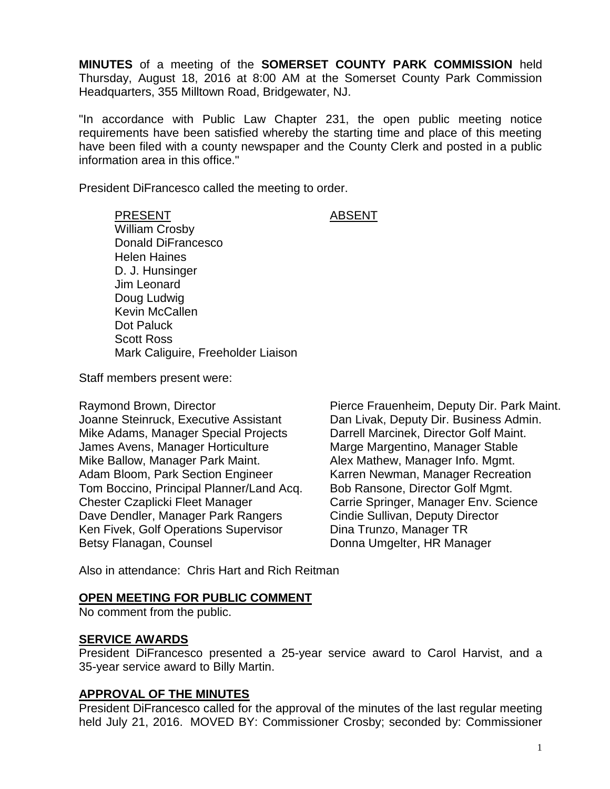**MINUTES** of a meeting of the **SOMERSET COUNTY PARK COMMISSION** held Thursday, August 18, 2016 at 8:00 AM at the Somerset County Park Commission Headquarters, 355 Milltown Road, Bridgewater, NJ.

"In accordance with Public Law Chapter 231, the open public meeting notice requirements have been satisfied whereby the starting time and place of this meeting have been filed with a county newspaper and the County Clerk and posted in a public information area in this office."

President DiFrancesco called the meeting to order.

PRESENT ABSENT William Crosby Donald DiFrancesco Helen Haines D. J. Hunsinger Jim Leonard Doug Ludwig Kevin McCallen Dot Paluck Scott Ross Mark Caliguire, Freeholder Liaison

Staff members present were:

Raymond Brown, Director **Pierce Frauenheim, Deputy Dir. Park Maint.** Joanne Steinruck, Executive Assistant Dan Livak, Deputy Dir. Business Admin. Mike Adams, Manager Special Projects Darrell Marcinek, Director Golf Maint. James Avens, Manager Horticulture Marge Margentino, Manager Stable Mike Ballow, Manager Park Maint. Alex Mathew, Manager Info. Mgmt. Adam Bloom, Park Section Engineer Karren Newman, Manager Recreation Tom Boccino, Principal Planner/Land Acq. Bob Ransone, Director Golf Mgmt. Chester Czaplicki Fleet Manager Carrie Springer, Manager Env. Science Dave Dendler, Manager Park Rangers Cindie Sullivan, Deputy Director Ken Fivek, Golf Operations Supervisor Dina Trunzo, Manager TR Betsy Flanagan, Counsel **Donna Umgelter, HR Manager** 

Also in attendance: Chris Hart and Rich Reitman

#### **OPEN MEETING FOR PUBLIC COMMENT**

No comment from the public.

#### **SERVICE AWARDS**

President DiFrancesco presented a 25-year service award to Carol Harvist, and a 35-year service award to Billy Martin.

#### **APPROVAL OF THE MINUTES**

President DiFrancesco called for the approval of the minutes of the last regular meeting held July 21, 2016. MOVED BY: Commissioner Crosby; seconded by: Commissioner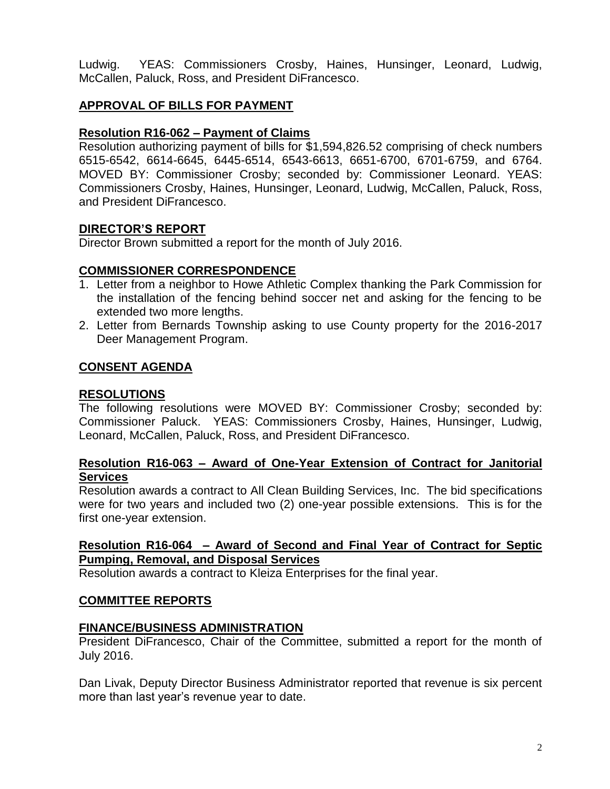Ludwig. YEAS: Commissioners Crosby, Haines, Hunsinger, Leonard, Ludwig, McCallen, Paluck, Ross, and President DiFrancesco.

# **APPROVAL OF BILLS FOR PAYMENT**

# **Resolution R16-062 – Payment of Claims**

Resolution authorizing payment of bills for \$1,594,826.52 comprising of check numbers 6515-6542, 6614-6645, 6445-6514, 6543-6613, 6651-6700, 6701-6759, and 6764. MOVED BY: Commissioner Crosby; seconded by: Commissioner Leonard. YEAS: Commissioners Crosby, Haines, Hunsinger, Leonard, Ludwig, McCallen, Paluck, Ross, and President DiFrancesco.

# **DIRECTOR'S REPORT**

Director Brown submitted a report for the month of July 2016.

# **COMMISSIONER CORRESPONDENCE**

- 1. Letter from a neighbor to Howe Athletic Complex thanking the Park Commission for the installation of the fencing behind soccer net and asking for the fencing to be extended two more lengths.
- 2. Letter from Bernards Township asking to use County property for the 2016-2017 Deer Management Program.

# **CONSENT AGENDA**

#### **RESOLUTIONS**

The following resolutions were MOVED BY: Commissioner Crosby; seconded by: Commissioner Paluck. YEAS: Commissioners Crosby, Haines, Hunsinger, Ludwig, Leonard, McCallen, Paluck, Ross, and President DiFrancesco.

# **Resolution R16-063 – Award of One-Year Extension of Contract for Janitorial Services**

Resolution awards a contract to All Clean Building Services, Inc. The bid specifications were for two years and included two (2) one-year possible extensions. This is for the first one-year extension.

#### **Resolution R16-064 – Award of Second and Final Year of Contract for Septic Pumping, Removal, and Disposal Services**

Resolution awards a contract to Kleiza Enterprises for the final year.

#### **COMMITTEE REPORTS**

#### **FINANCE/BUSINESS ADMINISTRATION**

President DiFrancesco, Chair of the Committee, submitted a report for the month of July 2016.

Dan Livak, Deputy Director Business Administrator reported that revenue is six percent more than last year's revenue year to date.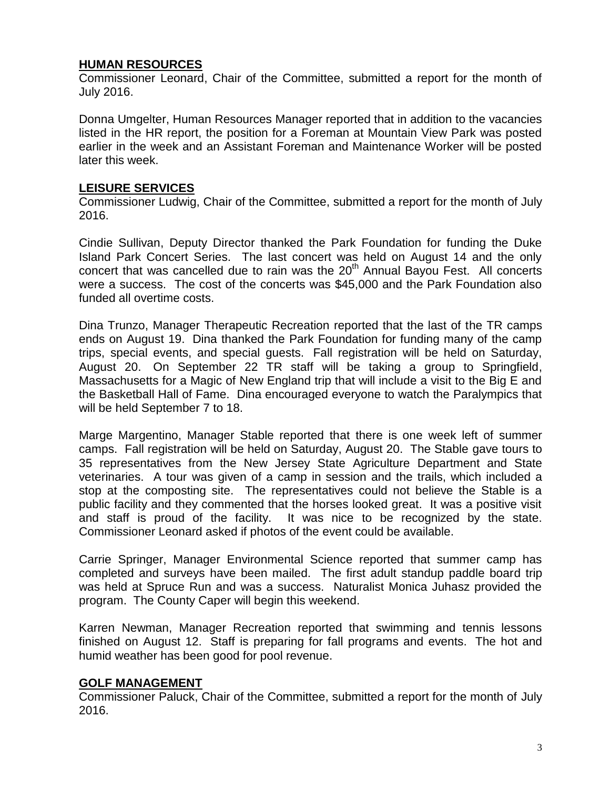#### **HUMAN RESOURCES**

Commissioner Leonard, Chair of the Committee, submitted a report for the month of July 2016.

Donna Umgelter, Human Resources Manager reported that in addition to the vacancies listed in the HR report, the position for a Foreman at Mountain View Park was posted earlier in the week and an Assistant Foreman and Maintenance Worker will be posted later this week.

# **LEISURE SERVICES**

Commissioner Ludwig, Chair of the Committee, submitted a report for the month of July 2016.

Cindie Sullivan, Deputy Director thanked the Park Foundation for funding the Duke Island Park Concert Series. The last concert was held on August 14 and the only concert that was cancelled due to rain was the  $20<sup>th</sup>$  Annual Bayou Fest. All concerts were a success. The cost of the concerts was \$45,000 and the Park Foundation also funded all overtime costs.

Dina Trunzo, Manager Therapeutic Recreation reported that the last of the TR camps ends on August 19. Dina thanked the Park Foundation for funding many of the camp trips, special events, and special guests. Fall registration will be held on Saturday, August 20. On September 22 TR staff will be taking a group to Springfield, Massachusetts for a Magic of New England trip that will include a visit to the Big E and the Basketball Hall of Fame. Dina encouraged everyone to watch the Paralympics that will be held September 7 to 18.

Marge Margentino, Manager Stable reported that there is one week left of summer camps. Fall registration will be held on Saturday, August 20. The Stable gave tours to 35 representatives from the New Jersey State Agriculture Department and State veterinaries. A tour was given of a camp in session and the trails, which included a stop at the composting site. The representatives could not believe the Stable is a public facility and they commented that the horses looked great. It was a positive visit and staff is proud of the facility. It was nice to be recognized by the state. Commissioner Leonard asked if photos of the event could be available.

Carrie Springer, Manager Environmental Science reported that summer camp has completed and surveys have been mailed. The first adult standup paddle board trip was held at Spruce Run and was a success. Naturalist Monica Juhasz provided the program. The County Caper will begin this weekend.

Karren Newman, Manager Recreation reported that swimming and tennis lessons finished on August 12. Staff is preparing for fall programs and events. The hot and humid weather has been good for pool revenue.

#### **GOLF MANAGEMENT**

Commissioner Paluck, Chair of the Committee, submitted a report for the month of July 2016.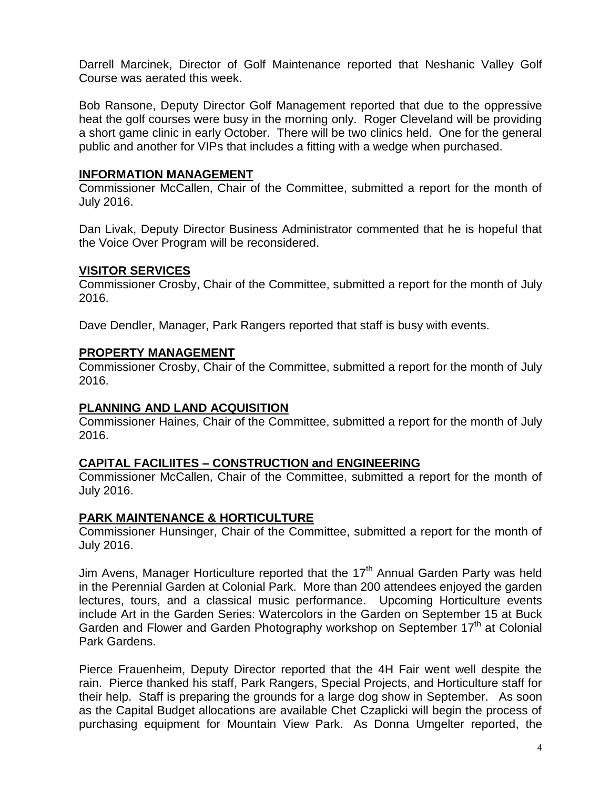Darrell Marcinek, Director of Golf Maintenance reported that Neshanic Valley Golf Course was aerated this week.

Bob Ransone, Deputy Director Golf Management reported that due to the oppressive heat the golf courses were busy in the morning only. Roger Cleveland will be providing a short game clinic in early October. There will be two clinics held. One for the general public and another for VIPs that includes a fitting with a wedge when purchased.

#### **INFORMATION MANAGEMENT**

Commissioner McCallen, Chair of the Committee, submitted a report for the month of July 2016.

Dan Livak, Deputy Director Business Administrator commented that he is hopeful that the Voice Over Program will be reconsidered.

#### **VISITOR SERVICES**

Commissioner Crosby, Chair of the Committee, submitted a report for the month of July 2016.

Dave Dendler, Manager, Park Rangers reported that staff is busy with events.

#### **PROPERTY MANAGEMENT**

Commissioner Crosby, Chair of the Committee, submitted a report for the month of July 2016.

#### **PLANNING AND LAND ACQUISITION**

Commissioner Haines, Chair of the Committee, submitted a report for the month of July 2016.

#### **CAPITAL FACILIITES – CONSTRUCTION and ENGINEERING**

Commissioner McCallen, Chair of the Committee, submitted a report for the month of July 2016.

#### **PARK MAINTENANCE & HORTICULTURE**

Commissioner Hunsinger, Chair of the Committee, submitted a report for the month of July 2016.

Jim Avens, Manager Horticulture reported that the  $17<sup>th</sup>$  Annual Garden Party was held in the Perennial Garden at Colonial Park. More than 200 attendees enjoyed the garden lectures, tours, and a classical music performance. Upcoming Horticulture events include Art in the Garden Series: Watercolors in the Garden on September 15 at Buck Garden and Flower and Garden Photography workshop on September 17<sup>th</sup> at Colonial Park Gardens.

Pierce Frauenheim, Deputy Director reported that the 4H Fair went well despite the rain. Pierce thanked his staff, Park Rangers, Special Projects, and Horticulture staff for their help. Staff is preparing the grounds for a large dog show in September. As soon as the Capital Budget allocations are available Chet Czaplicki will begin the process of purchasing equipment for Mountain View Park. As Donna Umgelter reported, the